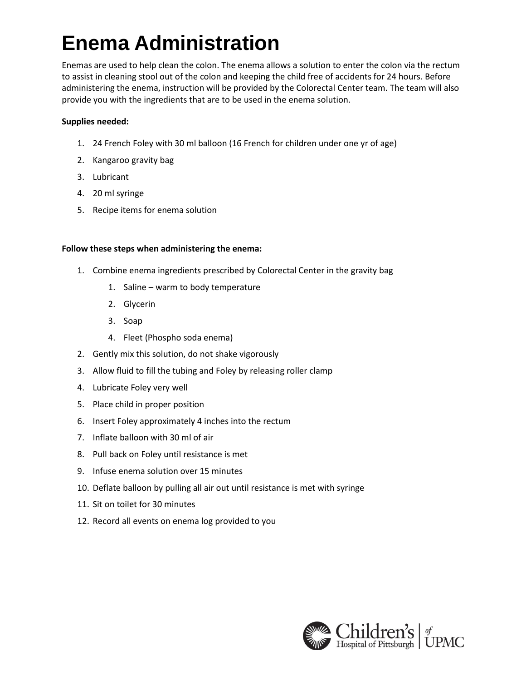# **Enema Administration**

Enemas are used to help clean the colon. The enema allows a solution to enter the colon via the rectum to assist in cleaning stool out of the colon and keeping the child free of accidents for 24 hours. Before administering the enema, instruction will be provided by the Colorectal Center team. The team will also provide you with the ingredients that are to be used in the enema solution.

### **Supplies needed:**

- 1. 24 French Foley with 30 ml balloon (16 French for children under one yr of age)
- 2. Kangaroo gravity bag
- 3. Lubricant
- 4. 20 ml syringe
- 5. Recipe items for enema solution

#### **Follow these steps when administering the enema:**

- 1. Combine enema ingredients prescribed by Colorectal Center in the gravity bag
	- 1. Saline warm to body temperature
	- 2. Glycerin
	- 3. Soap
	- 4. Fleet (Phospho soda enema)
- 2. Gently mix this solution, do not shake vigorously
- 3. Allow fluid to fill the tubing and Foley by releasing roller clamp
- 4. Lubricate Foley very well
- 5. Place child in proper position
- 6. Insert Foley approximately 4 inches into the rectum
- 7. Inflate balloon with 30 ml of air
- 8. Pull back on Foley until resistance is met
- 9. Infuse enema solution over 15 minutes
- 10. Deflate balloon by pulling all air out until resistance is met with syringe
- 11. Sit on toilet for 30 minutes
- 12. Record all events on enema log provided to you